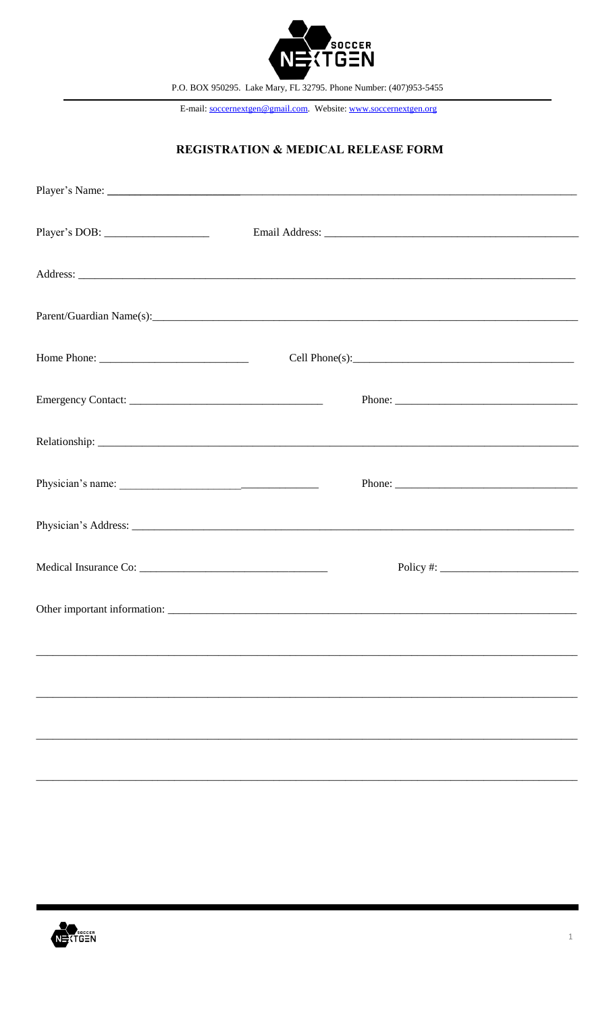

P.O. BOX 950295. Lake Mary, FL 32795. Phone Number: (407)953-5455

E-mail: soccernextgen@gmail.com. Website: www.soccernextgen.org

## **REGISTRATION & MEDICAL RELEASE FORM**

| Player's DOB: __________________ |                                   |
|----------------------------------|-----------------------------------|
|                                  |                                   |
|                                  |                                   |
|                                  |                                   |
|                                  |                                   |
|                                  |                                   |
|                                  |                                   |
|                                  |                                   |
|                                  | Policy #: $\frac{1}{2}$ Policy #: |
|                                  |                                   |
|                                  |                                   |
|                                  |                                   |
|                                  |                                   |
|                                  |                                   |